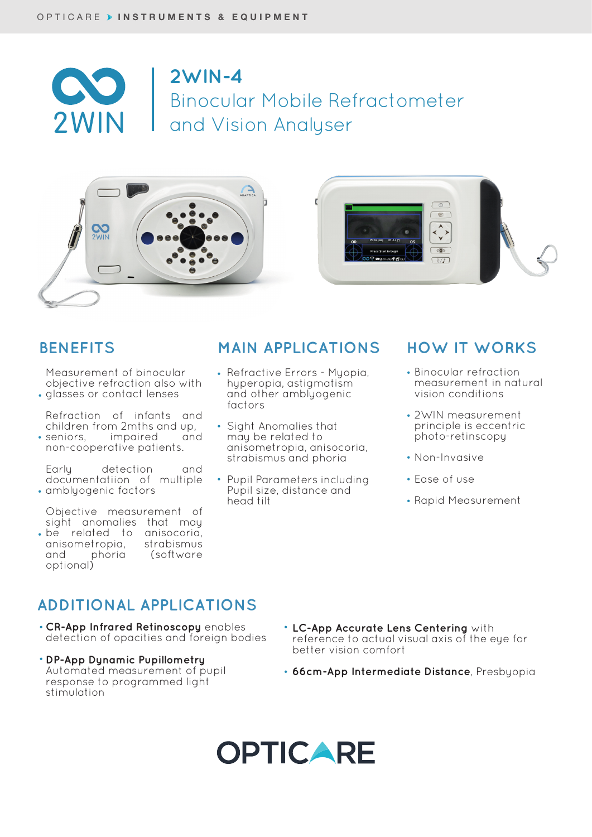

## **2WIN-4** Binocular Mobile Refractometer and Vision Analyser



Measurement of binocular objective refraction also with • glasses or contact lenses

- Refraction of infants and children from 2mths and up, impaired and
- non-cooperative patients. • seniors,

Early detection and documentatiion of multiple amblyogenic factors •

- Objective measurement of sight anomalies that may be related to anisocoria, •
- anisometropia, strabismus<br>and phoria (software and phoria (software optional)

### **BENEFITS MAIN APPLICATIONS HOW IT WORKS**

- Refractive Errors Myopia, hyperopia, astigmatism and other amblyogenic factors
- Sight Anomalies that may be related to anisometropia, anisocoria, strabismus and phoria
- Pupil Parameters including Pupil size, distance and head tilt •

- Binocular refraction measurement in natural vision conditions
- 2WIN measurement principle is eccentric photo-retinscopy
- Non-Invasive
- Ease of use •
- Rapid Measurement

### **ADDITIONAL APPLICATIONS**

- **CR-App Infrared Retinoscopy** enables detection of opacities and foreign bodies
- **DP-App Dynamic Pupillometry**  Automated measurement of pupil response to programmed light stimulation
- **LC-App Accurate Lens Centering** with reference to actual visual axis of the eye for better vision comfort
- **66cm-App Intermediate Distance**, Presbyopia •

## **OPTICARE**